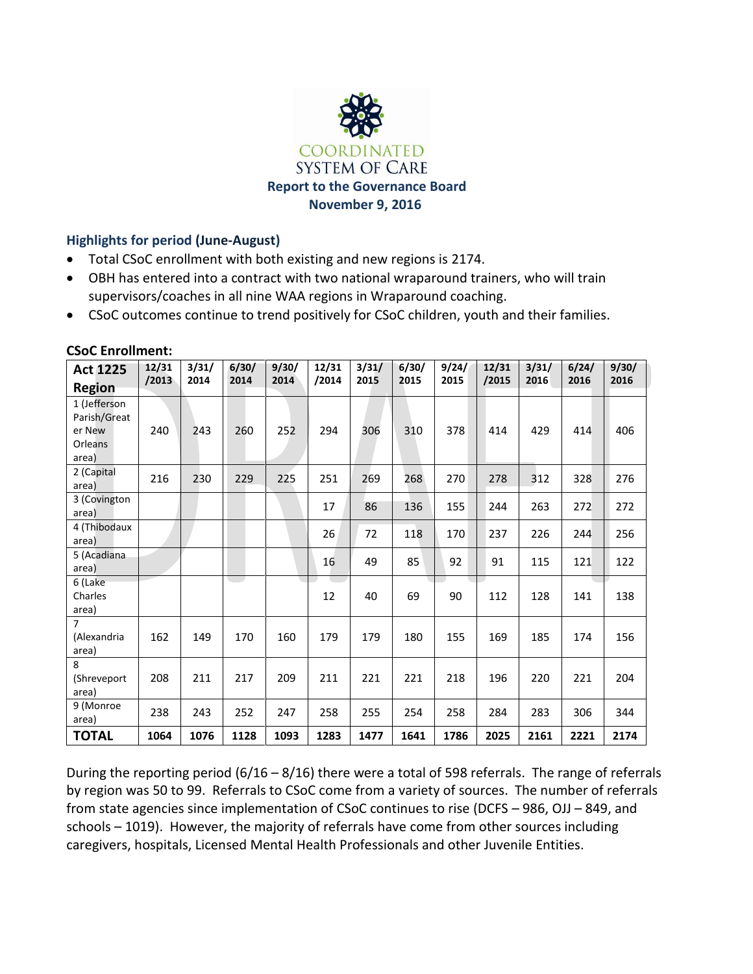

# **Highlights for period (June-August)**

- Total CSoC enrollment with both existing and new regions is 2174.
- OBH has entered into a contract with two national wraparound trainers, who will train supervisors/coaches in all nine WAA regions in Wraparound coaching.
- CSoC outcomes continue to trend positively for CSoC children, youth and their families.

| <b>Act 1225</b>                                                   | 12/31 | 3/31/ | 6/30/ | 9/30/ | 12/31 | 3/31/ | 6/30/ | 9/24/ | 12/31 | 3/31/ | 6/24/ | 9/30/ |
|-------------------------------------------------------------------|-------|-------|-------|-------|-------|-------|-------|-------|-------|-------|-------|-------|
| <b>Region</b>                                                     | /2013 | 2014  | 2014  | 2014  | /2014 | 2015  | 2015  | 2015  | /2015 | 2016  | 2016  | 2016  |
| 1 (Jefferson<br>Parish/Great<br>er New<br><b>Orleans</b><br>area) | 240   | 243   | 260   | 252   | 294   | 306   | 310   | 378   | 414   | 429   | 414   | 406   |
| 2 (Capital<br>area)                                               | 216   | 230   | 229   | 225   | 251   | 269   | 268   | 270   | 278   | 312   | 328   | 276   |
| 3 (Covington<br>area)                                             |       |       |       |       | 17    | 86    | 136   | 155   | 244   | 263   | 272   | 272   |
| 4 (Thibodaux<br>area)                                             |       |       |       |       | 26    | 72    | 118   | 170   | 237   | 226   | 244   | 256   |
| 5 (Acadiana<br>area)                                              |       |       |       |       | 16    | 49    | 85    | 92    | 91    | 115   | 121   | 122   |
| 6 (Lake<br>Charles<br>area)                                       |       |       |       |       | 12    | 40    | 69    | 90    | 112   | 128   | 141   | 138   |
| 7<br>(Alexandria<br>area)                                         | 162   | 149   | 170   | 160   | 179   | 179   | 180   | 155   | 169   | 185   | 174   | 156   |
| 8<br>(Shreveport<br>area)                                         | 208   | 211   | 217   | 209   | 211   | 221   | 221   | 218   | 196   | 220   | 221   | 204   |
| 9 (Monroe<br>area)                                                | 238   | 243   | 252   | 247   | 258   | 255   | 254   | 258   | 284   | 283   | 306   | 344   |
| <b>TOTAL</b>                                                      | 1064  | 1076  | 1128  | 1093  | 1283  | 1477  | 1641  | 1786  | 2025  | 2161  | 2221  | 2174  |

#### **CSoC Enrollment:**

During the reporting period (6/16 – 8/16) there were a total of 598 referrals. The range of referrals by region was 50 to 99. Referrals to CSoC come from a variety of sources. The number of referrals from state agencies since implementation of CSoC continues to rise (DCFS – 986, OJJ – 849, and schools – 1019). However, the majority of referrals have come from other sources including caregivers, hospitals, Licensed Mental Health Professionals and other Juvenile Entities.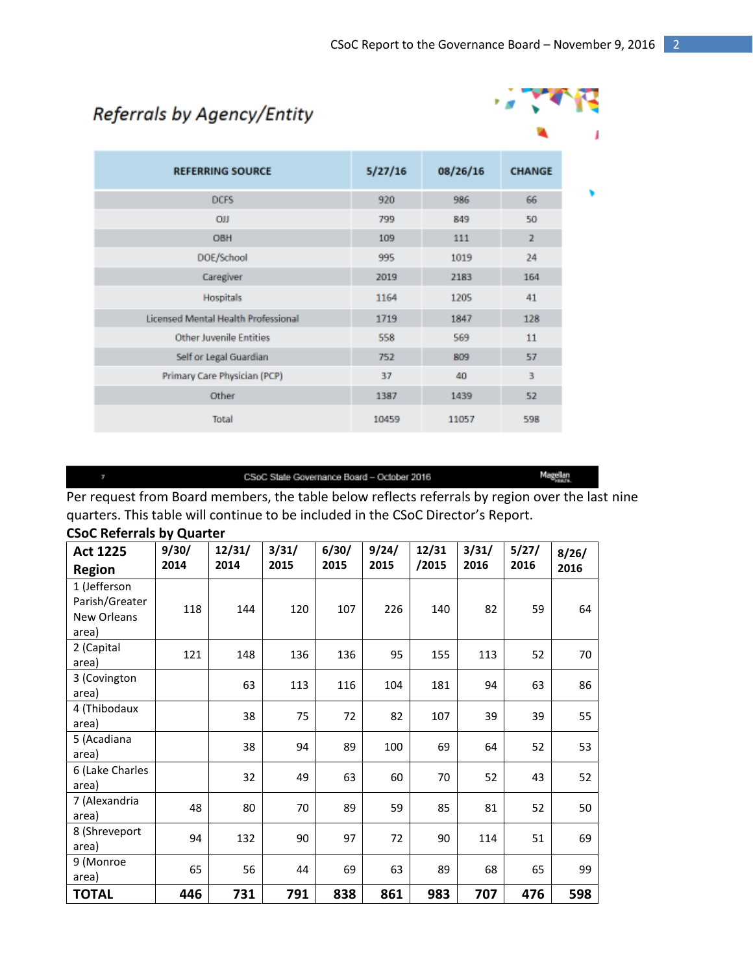# Referrals by Agency/Entity



| <b>REFERRING SOURCE</b>                    | 5/27/16 | 08/26/16 | <b>CHANGE</b>  |
|--------------------------------------------|---------|----------|----------------|
| <b>DCFS</b>                                | 920     | 986      | 66             |
| <b>OJJ</b>                                 | 799     | 849      | 50             |
| <b>OBH</b>                                 | 109     | 111      | $\overline{z}$ |
| DOE/School                                 | 995     | 1019     | 24             |
| Caregiver                                  | 2019    | 2183     | 164            |
| <b>Hospitals</b>                           | 1164    | 1205     | 41             |
| <b>Licensed Mental Health Professional</b> | 1719    | 1847     | 128            |
| Other Juvenile Entities                    | 558     | 569      | 11             |
| Self or Legal Guardian                     | 752     | 809      | 57             |
| Primary Care Physician (PCP)               | 37      | 40       | 3              |
| Other                                      | 1387    | 1439     | 52             |
| Total                                      | 10459   | 11057    | 598            |

#### CSoC State Governance Board - October 2016

Magellan<br>Haszk

Per request from Board members, the table below reflects referrals by region over the last nine quarters. This table will continue to be included in the CSoC Director's Report.

| <b>Act 1225</b>                                        | 9/30/ | 12/31/ | 3/31/ | 6/30/ | 9/24/ | 12/31 | 3/31/ | 5/27/ | 8/26/ |
|--------------------------------------------------------|-------|--------|-------|-------|-------|-------|-------|-------|-------|
| <b>Region</b>                                          | 2014  | 2014   | 2015  | 2015  | 2015  | /2015 | 2016  | 2016  | 2016  |
| 1 (Jefferson<br>Parish/Greater<br>New Orleans<br>area) | 118   | 144    | 120   | 107   | 226   | 140   | 82    | 59    | 64    |
| 2 (Capital<br>area)                                    | 121   | 148    | 136   | 136   | 95    | 155   | 113   | 52    | 70    |
| 3 (Covington<br>area)                                  |       | 63     | 113   | 116   | 104   | 181   | 94    | 63    | 86    |
| 4 (Thibodaux<br>area)                                  |       | 38     | 75    | 72    | 82    | 107   | 39    | 39    | 55    |
| 5 (Acadiana<br>area)                                   |       | 38     | 94    | 89    | 100   | 69    | 64    | 52    | 53    |
| 6 (Lake Charles<br>area)                               |       | 32     | 49    | 63    | 60    | 70    | 52    | 43    | 52    |
| 7 (Alexandria<br>area)                                 | 48    | 80     | 70    | 89    | 59    | 85    | 81    | 52    | 50    |
| 8 (Shreveport<br>area)                                 | 94    | 132    | 90    | 97    | 72    | 90    | 114   | 51    | 69    |
| 9 (Monroe<br>area)                                     | 65    | 56     | 44    | 69    | 63    | 89    | 68    | 65    | 99    |
| <b>TOTAL</b>                                           | 446   | 731    | 791   | 838   | 861   | 983   | 707   | 476   | 598   |

#### **CSoC Referrals by Quarter**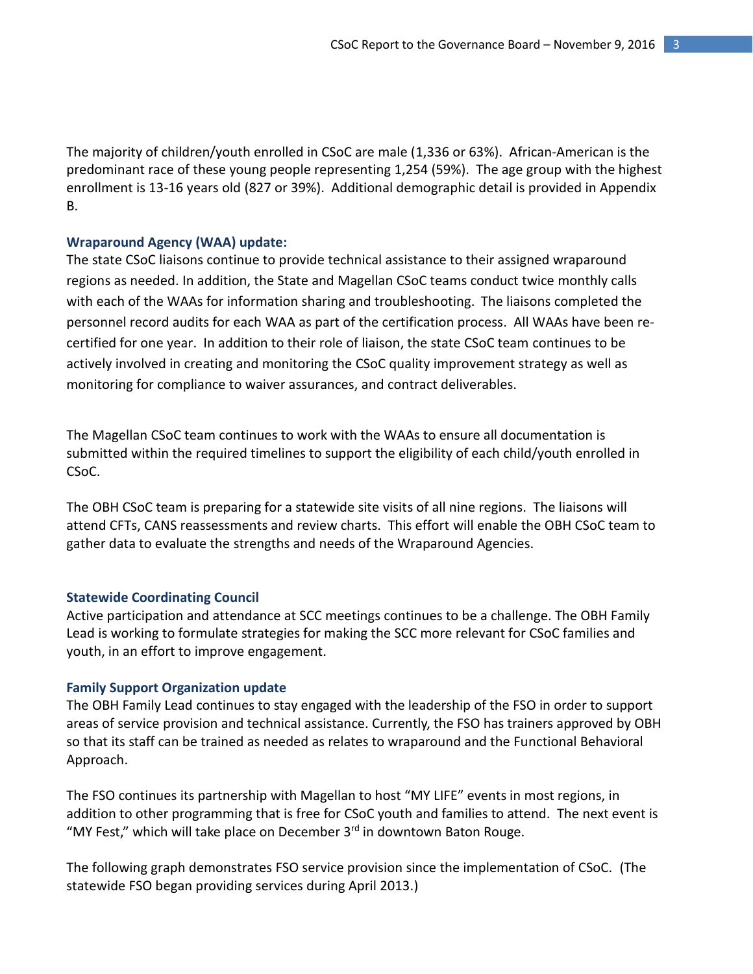The majority of children/youth enrolled in CSoC are male (1,336 or 63%). African-American is the predominant race of these young people representing 1,254 (59%). The age group with the highest enrollment is 13-16 years old (827 or 39%). Additional demographic detail is provided in Appendix B.

#### **Wraparound Agency (WAA) update:**

The state CSoC liaisons continue to provide technical assistance to their assigned wraparound regions as needed. In addition, the State and Magellan CSoC teams conduct twice monthly calls with each of the WAAs for information sharing and troubleshooting. The liaisons completed the personnel record audits for each WAA as part of the certification process. All WAAs have been recertified for one year. In addition to their role of liaison, the state CSoC team continues to be actively involved in creating and monitoring the CSoC quality improvement strategy as well as monitoring for compliance to waiver assurances, and contract deliverables.

The Magellan CSoC team continues to work with the WAAs to ensure all documentation is submitted within the required timelines to support the eligibility of each child/youth enrolled in CSoC.

The OBH CSoC team is preparing for a statewide site visits of all nine regions. The liaisons will attend CFTs, CANS reassessments and review charts. This effort will enable the OBH CSoC team to gather data to evaluate the strengths and needs of the Wraparound Agencies.

#### **Statewide Coordinating Council**

Active participation and attendance at SCC meetings continues to be a challenge. The OBH Family Lead is working to formulate strategies for making the SCC more relevant for CSoC families and youth, in an effort to improve engagement.

#### **Family Support Organization update**

The OBH Family Lead continues to stay engaged with the leadership of the FSO in order to support areas of service provision and technical assistance. Currently, the FSO has trainers approved by OBH so that its staff can be trained as needed as relates to wraparound and the Functional Behavioral Approach.

The FSO continues its partnership with Magellan to host "MY LIFE" events in most regions, in addition to other programming that is free for CSoC youth and families to attend. The next event is "MY Fest," which will take place on December  $3<sup>rd</sup>$  in downtown Baton Rouge.

The following graph demonstrates FSO service provision since the implementation of CSoC. (The statewide FSO began providing services during April 2013.)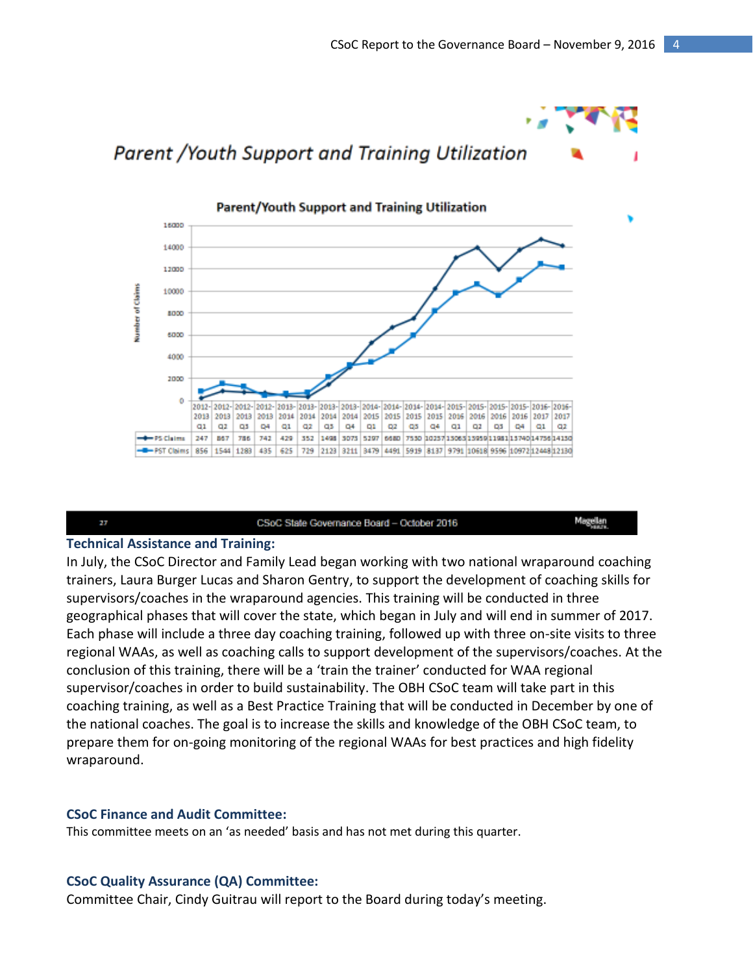

#### 27

CSoC State Governance Board - October 2016

Magellan

#### **Technical Assistance and Training:**

In July, the CSoC Director and Family Lead began working with two national wraparound coaching trainers, Laura Burger Lucas and Sharon Gentry, to support the development of coaching skills for supervisors/coaches in the wraparound agencies. This training will be conducted in three geographical phases that will cover the state, which began in July and will end in summer of 2017. Each phase will include a three day coaching training, followed up with three on-site visits to three regional WAAs, as well as coaching calls to support development of the supervisors/coaches. At the conclusion of this training, there will be a 'train the trainer' conducted for WAA regional supervisor/coaches in order to build sustainability. The OBH CSoC team will take part in this coaching training, as well as a Best Practice Training that will be conducted in December by one of the national coaches. The goal is to increase the skills and knowledge of the OBH CSoC team, to prepare them for on-going monitoring of the regional WAAs for best practices and high fidelity wraparound.

#### **CSoC Finance and Audit Committee:**

This committee meets on an 'as needed' basis and has not met during this quarter.

#### **CSoC Quality Assurance (QA) Committee:**

Committee Chair, Cindy Guitrau will report to the Board during today's meeting.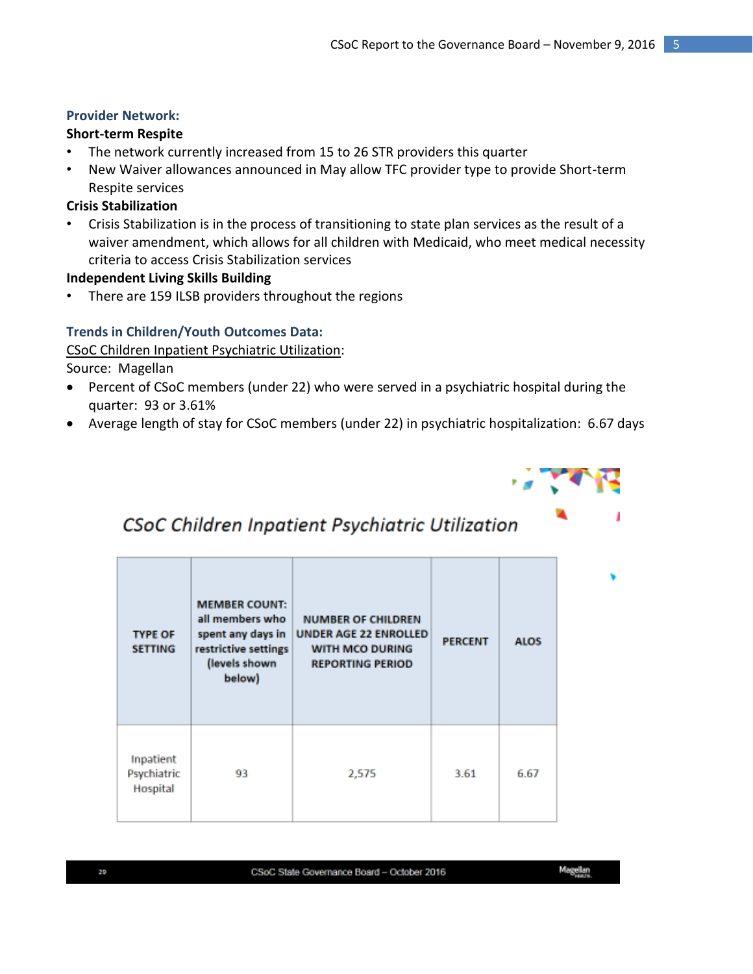# **Provider Network:**

# **Short-term Respite**

- The network currently increased from 15 to 26 STR providers this quarter
- New Waiver allowances announced in May allow TFC provider type to provide Short-term Respite services

# **Crisis Stabilization**

• Crisis Stabilization is in the process of transitioning to state plan services as the result of a waiver amendment, which allows for all children with Medicaid, who meet medical necessity criteria to access Crisis Stabilization services

# **Independent Living Skills Building**

There are 159 ILSB providers throughout the regions

# **Trends in Children/Youth Outcomes Data:**

CSoC Children Inpatient Psychiatric Utilization:

Source: Magellan

- Percent of CSoC members (under 22) who were served in a psychiatric hospital during the quarter: 93 or 3.61%
- Average length of stay for CSoC members (under 22) in psychiatric hospitalization: 6.67 days



# CSoC Children Inpatient Psychiatric Utilization

| <b>TYPE OF</b><br><b>SETTING</b>     | <b>MEMBER COUNT:</b><br>all members who<br>spent any days in<br>restrictive settings<br>(levels shown<br>below) | <b>NUMBER OF CHILDREN</b><br><b>UNDER AGE 22 ENROLLED</b><br>WITH MCO DURING<br><b>REPORTING PERIOD</b> | <b>PERCENT</b> | <b>ALOS</b> |
|--------------------------------------|-----------------------------------------------------------------------------------------------------------------|---------------------------------------------------------------------------------------------------------|----------------|-------------|
| Inpatient<br>Psychiatric<br>Hospital | 93                                                                                                              | 2,575                                                                                                   | 3.61           | 6.67        |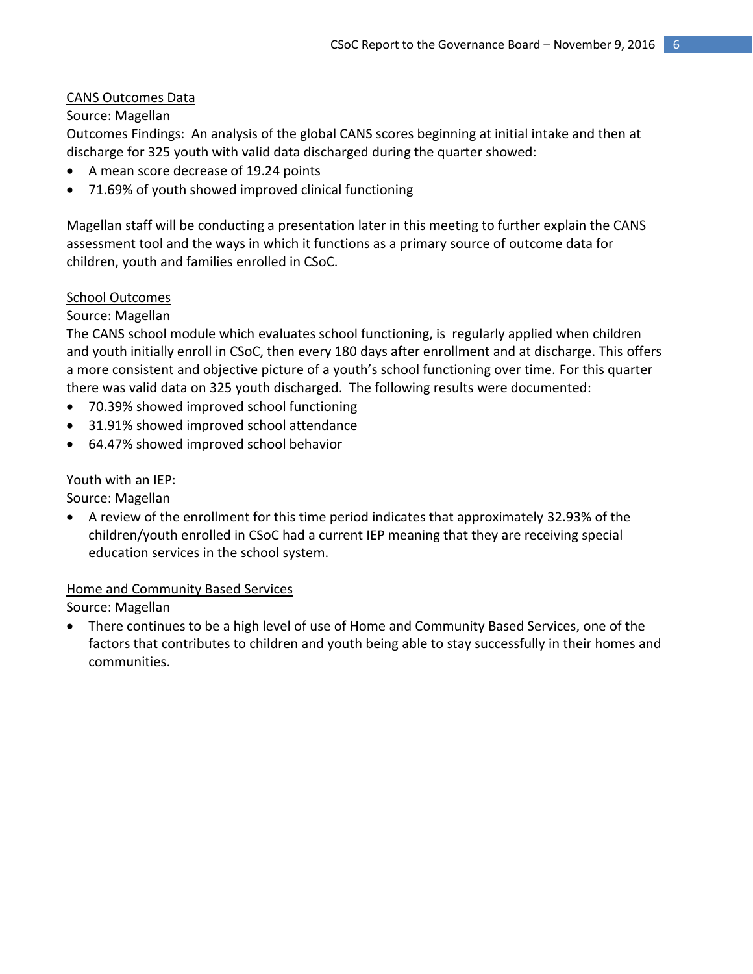# CANS Outcomes Data

# Source: Magellan

Outcomes Findings: An analysis of the global CANS scores beginning at initial intake and then at discharge for 325 youth with valid data discharged during the quarter showed:

- A mean score decrease of 19.24 points
- 71.69% of youth showed improved clinical functioning

Magellan staff will be conducting a presentation later in this meeting to further explain the CANS assessment tool and the ways in which it functions as a primary source of outcome data for children, youth and families enrolled in CSoC.

### School Outcomes

### Source: Magellan

The CANS school module which evaluates school functioning, is regularly applied when children and youth initially enroll in CSoC, then every 180 days after enrollment and at discharge. This offers a more consistent and objective picture of a youth's school functioning over time. For this quarter there was valid data on 325 youth discharged. The following results were documented:

- 70.39% showed improved school functioning
- 31.91% showed improved school attendance
- 64.47% showed improved school behavior

Youth with an IEP:

Source: Magellan

 A review of the enrollment for this time period indicates that approximately 32.93% of the children/youth enrolled in CSoC had a current IEP meaning that they are receiving special education services in the school system.

### Home and Community Based Services

Source: Magellan

 There continues to be a high level of use of Home and Community Based Services, one of the factors that contributes to children and youth being able to stay successfully in their homes and communities.